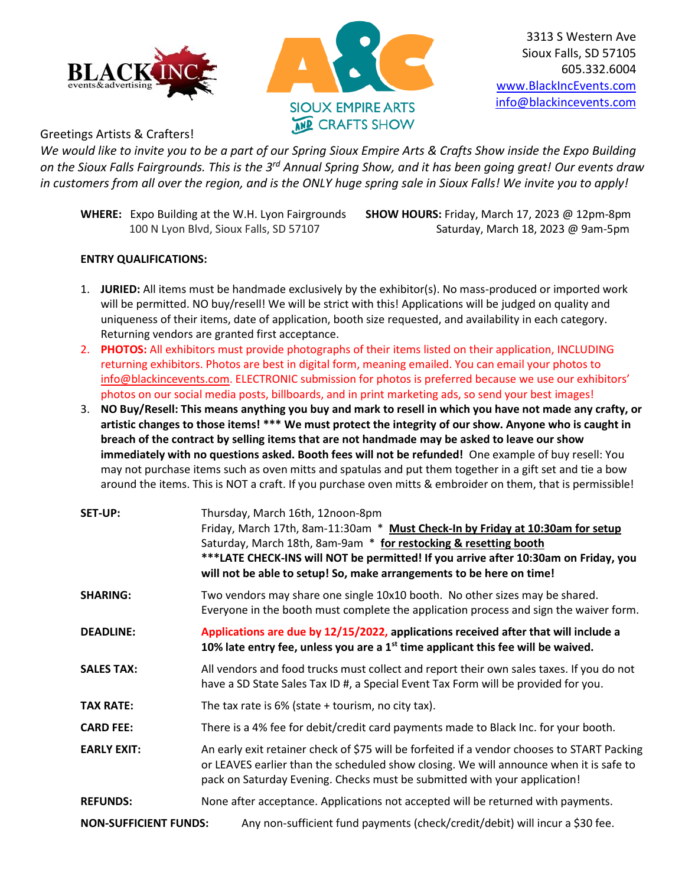



3313 S Western Ave Sioux Falls, SD 57105 605.332.6004 [www.BlackIncEvents.com](http://www.blackincevents.com/) [info@blackincevents.com](mailto:info@blackincevents.com)

## Greetings Artists & Crafters!

*We would like to invite you to be a part of our Spring Sioux Empire Arts & Crafts Show inside the Expo Building on the Sioux Falls Fairgrounds. This is the 3rd Annual Spring Show, and it has been going great! Our events draw in customers from all over the region, and is the ONLY huge spring sale in Sioux Falls! We invite you to apply!*

**WHERE:** Expo Building at the W.H. Lyon Fairgrounds **SHOW HOURS:** Friday, March 17, 2023 @ 12pm-8pm

100 N Lyon Blvd, Sioux Falls, SD 57107 Saturday, March 18, 2023 @ 9am-5pm

## **ENTRY QUALIFICATIONS:**

- 1. **JURIED:** All items must be handmade exclusively by the exhibitor(s). No mass-produced or imported work will be permitted. NO buy/resell! We will be strict with this! Applications will be judged on quality and uniqueness of their items, date of application, booth size requested, and availability in each category. Returning vendors are granted first acceptance.
- 2. **PHOTOS:** All exhibitors must provide photographs of their items listed on their application, INCLUDING returning exhibitors. Photos are best in digital form, meaning emailed. You can email your photos to [info@blackincevents.com.](mailto:info@blackincevents.com) ELECTRONIC submission for photos is preferred because we use our exhibitors' photos on our social media posts, billboards, and in print marketing ads, so send your best images!
- 3. **NO Buy/Resell: This means anything you buy and mark to resell in which you have not made any crafty, or artistic changes to those items! \*\*\* We must protect the integrity of our show. Anyone who is caught in breach of the contract by selling items that are not handmade may be asked to leave our show immediately with no questions asked. Booth fees will not be refunded!** One example of buy resell: You may not purchase items such as oven mitts and spatulas and put them together in a gift set and tie a bow around the items. This is NOT a craft. If you purchase oven mitts & embroider on them, that is permissible!

| SET-UP:                      | Thursday, March 16th, 12noon-8pm<br>Friday, March 17th, 8am-11:30am * Must Check-In by Friday at 10:30am for setup<br>Saturday, March 18th, 8am-9am * for restocking & resetting booth<br>***LATE CHECK-INS will NOT be permitted! If you arrive after 10:30am on Friday, you<br>will not be able to setup! So, make arrangements to be here on time! |  |
|------------------------------|-------------------------------------------------------------------------------------------------------------------------------------------------------------------------------------------------------------------------------------------------------------------------------------------------------------------------------------------------------|--|
| <b>SHARING:</b>              | Two vendors may share one single 10x10 booth. No other sizes may be shared.<br>Everyone in the booth must complete the application process and sign the waiver form.                                                                                                                                                                                  |  |
| <b>DEADLINE:</b>             | Applications are due by 12/15/2022, applications received after that will include a<br>10% late entry fee, unless you are a $1st$ time applicant this fee will be waived.                                                                                                                                                                             |  |
| <b>SALES TAX:</b>            | All vendors and food trucks must collect and report their own sales taxes. If you do not<br>have a SD State Sales Tax ID #, a Special Event Tax Form will be provided for you.                                                                                                                                                                        |  |
| <b>TAX RATE:</b>             | The tax rate is $6\%$ (state + tourism, no city tax).                                                                                                                                                                                                                                                                                                 |  |
| <b>CARD FEE:</b>             | There is a 4% fee for debit/credit card payments made to Black Inc. for your booth.                                                                                                                                                                                                                                                                   |  |
| <b>EARLY EXIT:</b>           | An early exit retainer check of \$75 will be forfeited if a vendor chooses to START Packing<br>or LEAVES earlier than the scheduled show closing. We will announce when it is safe to<br>pack on Saturday Evening. Checks must be submitted with your application!                                                                                    |  |
| <b>REFUNDS:</b>              | None after acceptance. Applications not accepted will be returned with payments.                                                                                                                                                                                                                                                                      |  |
| <b>NON-SUFFICIENT FUNDS:</b> | Any non-sufficient fund payments (check/credit/debit) will incur a \$30 fee.                                                                                                                                                                                                                                                                          |  |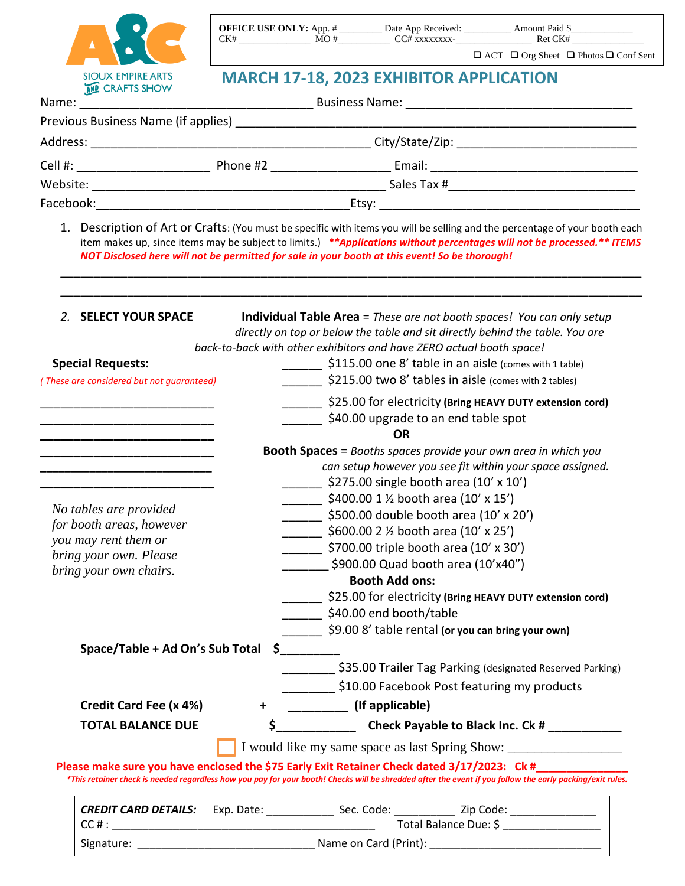

| <b>OFFICE USE ONLY:</b> App. # |     | Date App Received: | Amount Paid \$ |                                                            |
|--------------------------------|-----|--------------------|----------------|------------------------------------------------------------|
| CK#                            | MO# | CC# xxxxxxxx-      | Ret CK#        |                                                            |
|                                |     |                    |                | $\Box$ ACT $\Box$ Org Sheet $\Box$ Photos $\Box$ Conf Sent |

## **MARCH 17-18, 2023 EXHIBITOR APPLICATION**

| Name:     |          |             |  |
|-----------|----------|-------------|--|
|           |          |             |  |
| Address:  |          |             |  |
| Cell #:   | Phone #2 |             |  |
| Website:  |          | Sales Tax # |  |
| Facebook: |          |             |  |

1. Description of Art or Crafts: (You must be specific with items you will be selling and the percentage of your booth each item makes up, since items may be subject to limits.) *\*\*Applications without percentages will not be processed.\*\* ITEMS NOT Disclosed here will not be permitted for sale in your booth at this event! So be thorough!* 

\_\_\_\_\_\_\_\_\_\_\_\_\_\_\_\_\_\_\_\_\_\_\_\_\_\_\_\_\_\_\_\_\_\_\_\_\_\_\_\_\_\_\_\_\_\_\_\_\_\_\_\_\_\_\_\_\_\_\_\_\_\_\_\_\_\_\_\_\_\_\_\_\_\_\_\_\_\_\_\_\_\_\_\_\_\_\_

| 2. SELECT YOUR SPACE                      | <b>Individual Table Area</b> = These are not booth spaces! You can only setup                                                                                                                                                                                 |
|-------------------------------------------|---------------------------------------------------------------------------------------------------------------------------------------------------------------------------------------------------------------------------------------------------------------|
|                                           | directly on top or below the table and sit directly behind the table. You are                                                                                                                                                                                 |
|                                           | back-to-back with other exhibitors and have ZERO actual booth space!                                                                                                                                                                                          |
| <b>Special Requests:</b>                  | \$115.00 one 8' table in an aisle (comes with 1 table)                                                                                                                                                                                                        |
| (These are considered but not guaranteed) | \$215.00 two 8' tables in aisle (comes with 2 tables)                                                                                                                                                                                                         |
|                                           | \$25.00 for electricity (Bring HEAVY DUTY extension cord)                                                                                                                                                                                                     |
|                                           | \$40.00 upgrade to an end table spot                                                                                                                                                                                                                          |
|                                           | <b>OR</b>                                                                                                                                                                                                                                                     |
|                                           | <b>Booth Spaces</b> = Booths spaces provide your own area in which you                                                                                                                                                                                        |
|                                           | can setup however you see fit within your space assigned.                                                                                                                                                                                                     |
|                                           | $\frac{1}{2}$ \$275.00 single booth area (10' x 10')                                                                                                                                                                                                          |
| No tables are provided                    | ______ \$400.00 1 1/2 booth area (10' x 15')                                                                                                                                                                                                                  |
| for booth areas, however                  | \$500.00 double booth area (10' x 20')                                                                                                                                                                                                                        |
| you may rent them or                      | $\frac{1}{2}$ \$600.00 2 1/2 booth area (10' x 25')                                                                                                                                                                                                           |
| bring your own. Please                    | \$700.00 triple booth area (10' x 30')                                                                                                                                                                                                                        |
| bring your own chairs.                    | \$900.00 Quad booth area (10'x40")                                                                                                                                                                                                                            |
|                                           | <b>Booth Add ons:</b>                                                                                                                                                                                                                                         |
|                                           | _____ \$25.00 for electricity (Bring HEAVY DUTY extension cord)                                                                                                                                                                                               |
|                                           | _______ \$40.00 end booth/table                                                                                                                                                                                                                               |
|                                           | \$9.00 8' table rental (or you can bring your own)                                                                                                                                                                                                            |
| Space/Table + Ad On's Sub Total           | $\sharp$                                                                                                                                                                                                                                                      |
|                                           | \$35.00 Trailer Tag Parking (designated Reserved Parking)                                                                                                                                                                                                     |
|                                           | \$10.00 Facebook Post featuring my products                                                                                                                                                                                                                   |
| Credit Card Fee (x 4%)                    | (If applicable)<br>$+$ $-$                                                                                                                                                                                                                                    |
| <b>TOTAL BALANCE DUE</b>                  |                                                                                                                                                                                                                                                               |
|                                           | I would like my same space as last Spring Show: ________________________________                                                                                                                                                                              |
|                                           | Please make sure you have enclosed the \$75 Early Exit Retainer Check dated 3/17/2023: Ck #_____<br>*This retainer check is needed regardless how you pay for your booth! Checks will be shredded after the event if you follow the early packing/exit rules. |
|                                           | CREDIT CARD DETAILS: Exp. Date: _______________ Sec. Code: ____________ Zip Code: _________________                                                                                                                                                           |
|                                           | Total Balance Due: \$ _________________                                                                                                                                                                                                                       |
|                                           |                                                                                                                                                                                                                                                               |